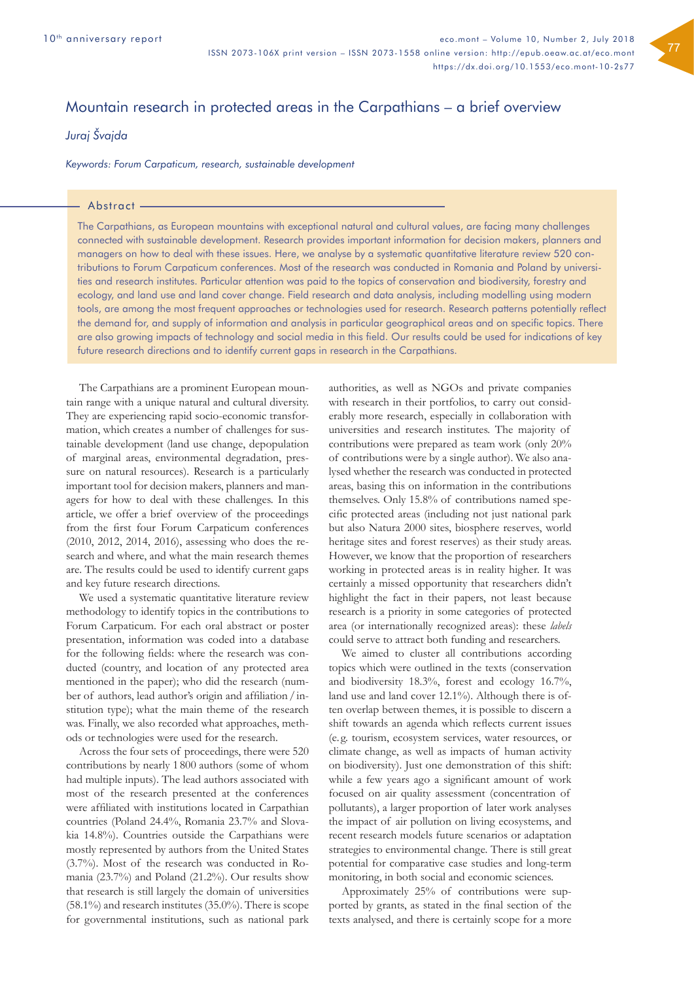# Mountain research in protected areas in the Carpathians – a brief overview

## *Juraj Švajda*

*Keywords: Forum Carpaticum, research, sustainable development*

#### Abstract -

The Carpathians, as European mountains with exceptional natural and cultural values, are facing many challenges connected with sustainable development. Research provides important information for decision makers, planners and managers on how to deal with these issues. Here, we analyse by a systematic quantitative literature review 520 contributions to Forum Carpaticum conferences. Most of the research was conducted in Romania and Poland by universities and research institutes. Particular attention was paid to the topics of conservation and biodiversity, forestry and ecology, and land use and land cover change. Field research and data analysis, including modelling using modern tools, are among the most frequent approaches or technologies used for research. Research patterns potentially reflect the demand for, and supply of information and analysis in particular geographical areas and on specific topics. There are also growing impacts of technology and social media in this field. Our results could be used for indications of key future research directions and to identify current gaps in research in the Carpathians.

The Carpathians are a prominent European mountain range with a unique natural and cultural diversity. They are experiencing rapid socio-economic transformation, which creates a number of challenges for sustainable development (land use change, depopulation of marginal areas, environmental degradation, pressure on natural resources). Research is a particularly important tool for decision makers, planners and managers for how to deal with these challenges. In this article, we offer a brief overview of the proceedings from the first four Forum Carpaticum conferences (2010, 2012, 2014, 2016), assessing who does the research and where, and what the main research themes are. The results could be used to identify current gaps and key future research directions.

We used a systematic quantitative literature review methodology to identify topics in the contributions to Forum Carpaticum. For each oral abstract or poster presentation, information was coded into a database for the following fields: where the research was conducted (country, and location of any protected area mentioned in the paper); who did the research (number of authors, lead author's origin and affiliation/institution type); what the main theme of the research was. Finally, we also recorded what approaches, methods or technologies were used for the research.

Across the four sets of proceedings, there were 520 contributions by nearly 1 800 authors (some of whom had multiple inputs). The lead authors associated with most of the research presented at the conferences were affiliated with institutions located in Carpathian countries (Poland 24.4%, Romania 23.7% and Slovakia 14.8%). Countries outside the Carpathians were mostly represented by authors from the United States (3.7%). Most of the research was conducted in Romania (23.7%) and Poland (21.2%). Our results show that research is still largely the domain of universities (58.1%) and research institutes (35.0%). There is scope for governmental institutions, such as national park authorities, as well as NGOs and private companies with research in their portfolios, to carry out considerably more research, especially in collaboration with universities and research institutes. The majority of contributions were prepared as team work (only 20% of contributions were by a single author). We also analysed whether the research was conducted in protected areas, basing this on information in the contributions themselves. Only 15.8% of contributions named specific protected areas (including not just national park but also Natura 2000 sites, biosphere reserves, world heritage sites and forest reserves) as their study areas. However, we know that the proportion of researchers working in protected areas is in reality higher. It was certainly a missed opportunity that researchers didn't highlight the fact in their papers, not least because research is a priority in some categories of protected area (or internationally recognized areas): these *labels* could serve to attract both funding and researchers.

We aimed to cluster all contributions according topics which were outlined in the texts (conservation and biodiversity 18.3%, forest and ecology 16.7%, land use and land cover 12.1%). Although there is often overlap between themes, it is possible to discern a shift towards an agenda which reflects current issues (e. g. tourism, ecosystem services, water resources, or climate change, as well as impacts of human activity on biodiversity). Just one demonstration of this shift: while a few years ago a significant amount of work focused on air quality assessment (concentration of pollutants), a larger proportion of later work analyses the impact of air pollution on living ecosystems, and recent research models future scenarios or adaptation strategies to environmental change. There is still great potential for comparative case studies and long-term monitoring, in both social and economic sciences.

Approximately 25% of contributions were supported by grants, as stated in the final section of the texts analysed, and there is certainly scope for a more